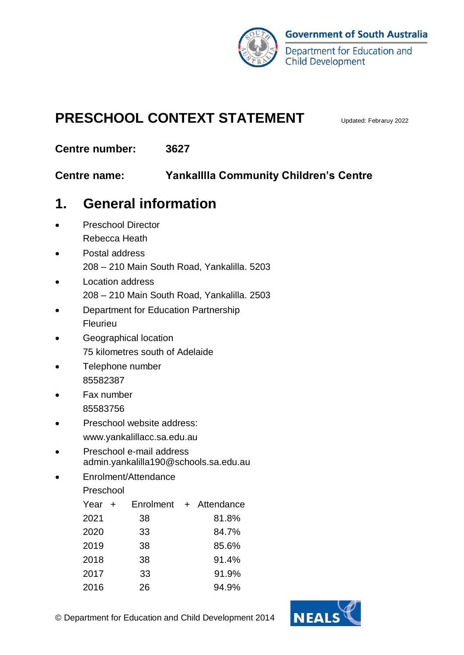

## **PRESCHOOL CONTEXT STATEMENT** Updated: Febraruy 2022

**Centre number: 3627**

**Centre name: YankalIlla Community Children's Centre**

## **1. General information**

- Preschool Director Rebecca Heath
- Postal address 208 – 210 Main South Road, Yankalilla. 5203
- Location address 208 – 210 Main South Road, Yankalilla. 2503
- Department for Education Partnership Fleurieu
- Geographical location 75 kilometres south of Adelaide
- Telephone number 85582387
- Fax number 85583756
- Preschool website address:
	- www.yankalillacc.sa.edu.au
- Preschool e-mail address admin.yankalilla190@schools.sa.edu.au
- Enrolment/Attendance

Preschool

| Year + |    | Enrolment + Attendance |
|--------|----|------------------------|
| 2021   | 38 | 81.8%                  |
| 2020   | 33 | 84.7%                  |
| 2019   | 38 | 85.6%                  |
| 2018   | 38 | 91.4%                  |
| 2017   | 33 | 91.9%                  |
| 2016   | 26 | 94.9%                  |



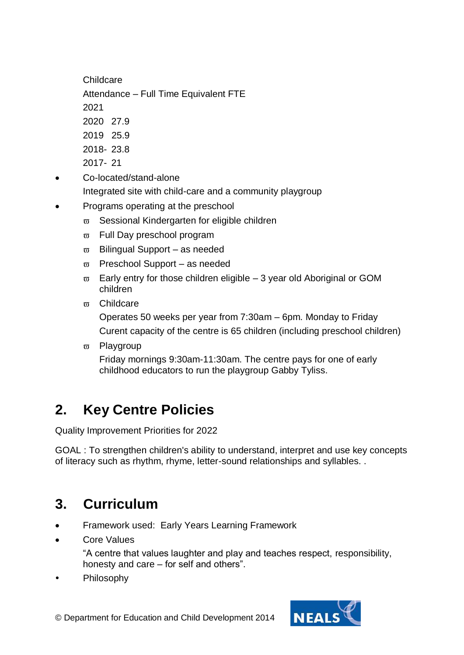Childcare

Attendance – Full Time Equivalent FTE

2021

- 2020 27.9
- 2019 25.9
- 2018- 23.8
- 2017- 21
- Co-located/stand-alone

Integrated site with child-care and a community playgroup

- Programs operating at the preschool
	- $\varpi$  Sessional Kindergarten for eligible children
	- $\overline{\omega}$  Full Dav preschool program
	- $\overline{\omega}$  Bilingual Support as needed
	- $\overline{\omega}$  Preschool Support as needed
	- $\overline{\omega}$  Early entry for those children eligible 3 year old Aboriginal or GOM children
	- m Childcare

Operates 50 weeks per year from 7:30am – 6pm. Monday to Friday Curent capacity of the centre is 65 children (including preschool children)

 $\overline{\omega}$  Playgroup

Friday mornings 9:30am-11:30am. The centre pays for one of early childhood educators to run the playgroup Gabby Tyliss.

# **2. Key Centre Policies**

Quality Improvement Priorities for 2022

GOAL : To strengthen children's ability to understand, interpret and use key concepts of literacy such as rhythm, rhyme, letter-sound relationships and syllables. .

# **3. Curriculum**

- Framework used: Early Years Learning Framework
- Core Values

"A centre that values laughter and play and teaches respect, responsibility, honesty and care – for self and others".

Philosophy



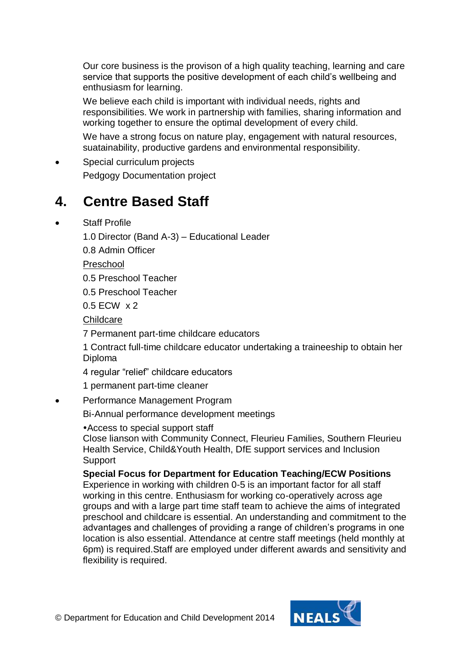Our core business is the provison of a high quality teaching, learning and care service that supports the positive development of each child's wellbeing and enthusiasm for learning.

We believe each child is important with individual needs, rights and responsibilities. We work in partnership with families, sharing information and working together to ensure the optimal development of every child.

We have a strong focus on nature play, engagement with natural resources, suatainability, productive gardens and environmental responsibility.

Special curriculum projects

Pedgogy Documentation project

#### **4. Centre Based Staff**

Staff Profile

1.0 Director (Band A-3) – Educational Leader

0.8 Admin Officer

Preschool

0.5 Preschool Teacher

0.5 Preschool Teacher

0.5 ECW x 2

**Childcare** 

7 Permanent part-time childcare educators

1 Contract full-time childcare educator undertaking a traineeship to obtain her Diploma

4 regular "relief" childcare educators

1 permanent part-time cleaner

Performance Management Program

Bi-Annual performance development meetings

Access to special support staff

Close lianson with Community Connect, Fleurieu Families, Southern Fleurieu Health Service, Child&Youth Health, DfE support services and Inclusion **Support** 

#### **Special Focus for Department for Education Teaching/ECW Positions**

Experience in working with children 0-5 is an important factor for all staff working in this centre. Enthusiasm for working co-operatively across age groups and with a large part time staff team to achieve the aims of integrated preschool and childcare is essential. An understanding and commitment to the advantages and challenges of providing a range of children's programs in one location is also essential. Attendance at centre staff meetings (held monthly at 6pm) is required.Staff are employed under different awards and sensitivity and flexibility is required.

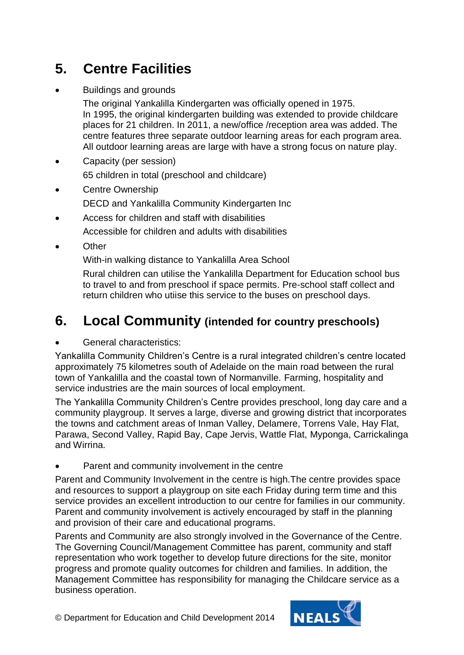## **5. Centre Facilities**

Buildings and grounds

The original Yankalilla Kindergarten was officially opened in 1975. In 1995, the original kindergarten building was extended to provide childcare places for 21 children. In 2011, a new/office /reception area was added. The centre features three separate outdoor learning areas for each program area. All outdoor learning areas are large with have a strong focus on nature play.

- Capacity (per session) 65 children in total (preschool and childcare)
- Centre Ownership
	- DECD and Yankalilla Community Kindergarten Inc
- Access for children and staff with disabilities

Accessible for children and adults with disabilities

**Other** 

With-in walking distance to Yankalilla Area School

Rural children can utilise the Yankalilla Department for Education school bus to travel to and from preschool if space permits. Pre-school staff collect and return children who utiise this service to the buses on preschool days.

### **6. Local Community (intended for country preschools)**

General characteristics:

Yankalilla Community Children's Centre is a rural integrated children's centre located approximately 75 kilometres south of Adelaide on the main road between the rural town of Yankalilla and the coastal town of Normanville. Farming, hospitality and service industries are the main sources of local employment.

The Yankalilla Community Children's Centre provides preschool, long day care and a community playgroup. It serves a large, diverse and growing district that incorporates the towns and catchment areas of Inman Valley, Delamere, Torrens Vale, Hay Flat, Parawa, Second Valley, Rapid Bay, Cape Jervis, Wattle Flat, Myponga, Carrickalinga and Wirrina.

Parent and community involvement in the centre

Parent and Community Involvement in the centre is high.The centre provides space and resources to support a playgroup on site each Friday during term time and this service provides an excellent introduction to our centre for families in our community. Parent and community involvement is actively encouraged by staff in the planning and provision of their care and educational programs.

Parents and Community are also strongly involved in the Governance of the Centre. The Governing Council/Management Committee has parent, community and staff representation who work together to develop future directions for the site, monitor progress and promote quality outcomes for children and families. In addition, the Management Committee has responsibility for managing the Childcare service as a business operation.